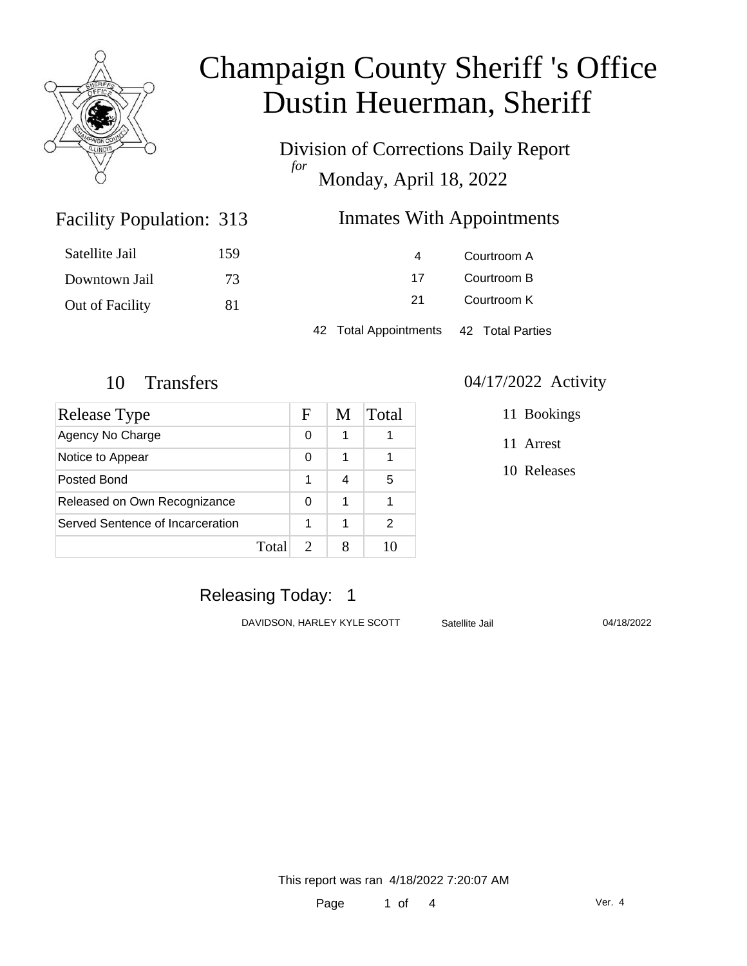

Division of Corrections Daily Report *for* Monday, April 18, 2022

### Inmates With Appointments

| Satellite Jail  | 159 | 4                                      | Courtroom A |  |
|-----------------|-----|----------------------------------------|-------------|--|
| Downtown Jail   | 73  | -17                                    | Courtroom B |  |
| Out of Facility | 81  | 21                                     | Courtroom K |  |
|                 |     | 42 Total Appointments 42 Total Parties |             |  |

Facility Population: 313

| <b>Release Type</b>              |       | F | M | Total |
|----------------------------------|-------|---|---|-------|
| Agency No Charge                 |       | 0 |   |       |
| Notice to Appear                 |       | 0 | 1 |       |
| Posted Bond                      |       | 1 | 4 | 5     |
| Released on Own Recognizance     |       | 0 | 1 |       |
| Served Sentence of Incarceration |       | 1 | 1 | 2     |
|                                  | Total |   |   | 10    |

### 10 Transfers 04/17/2022 Activity

11 Bookings

11 Arrest

10 Releases

### Releasing Today: 1

DAVIDSON, HARLEY KYLE SCOTT Satellite Jail 04/18/2022

This report was ran 4/18/2022 7:20:07 AM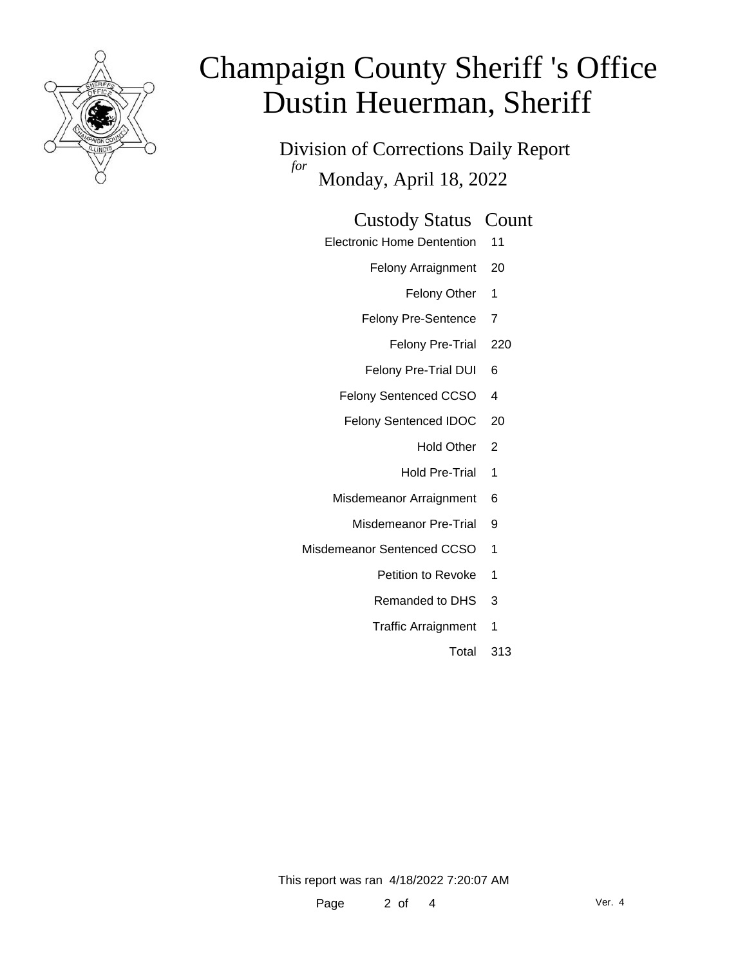

Division of Corrections Daily Report *for* Monday, April 18, 2022

### Custody Status Count

- Electronic Home Dentention 11
	- Felony Arraignment 20
		- Felony Other 1
	- Felony Pre-Sentence 7
		- Felony Pre-Trial 220
	- Felony Pre-Trial DUI 6
	- Felony Sentenced CCSO 4
	- Felony Sentenced IDOC 20
		- Hold Other 2
		- Hold Pre-Trial 1
	- Misdemeanor Arraignment 6
		- Misdemeanor Pre-Trial 9
- Misdemeanor Sentenced CCSO 1
	- Petition to Revoke 1
	- Remanded to DHS 3
	- Traffic Arraignment 1
		- Total 313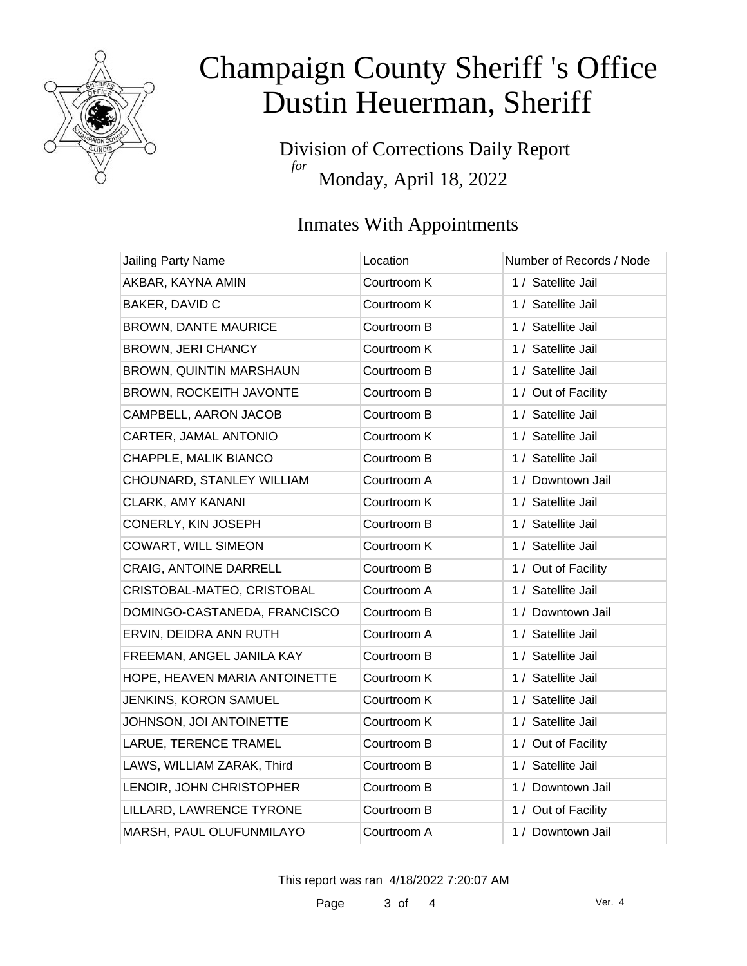

Division of Corrections Daily Report *for* Monday, April 18, 2022

## Inmates With Appointments

| <b>Jailing Party Name</b>      | Location    | Number of Records / Node |
|--------------------------------|-------------|--------------------------|
| AKBAR, KAYNA AMIN              | Courtroom K | 1 / Satellite Jail       |
| BAKER, DAVID C                 | Courtroom K | 1 / Satellite Jail       |
| <b>BROWN, DANTE MAURICE</b>    | Courtroom B | 1 / Satellite Jail       |
| <b>BROWN, JERI CHANCY</b>      | Courtroom K | 1 / Satellite Jail       |
| <b>BROWN, QUINTIN MARSHAUN</b> | Courtroom B | 1 / Satellite Jail       |
| BROWN, ROCKEITH JAVONTE        | Courtroom B | 1 / Out of Facility      |
| CAMPBELL, AARON JACOB          | Courtroom B | 1 / Satellite Jail       |
| CARTER, JAMAL ANTONIO          | Courtroom K | 1 / Satellite Jail       |
| CHAPPLE, MALIK BIANCO          | Courtroom B | 1 / Satellite Jail       |
| CHOUNARD, STANLEY WILLIAM      | Courtroom A | 1 / Downtown Jail        |
| <b>CLARK, AMY KANANI</b>       | Courtroom K | 1 / Satellite Jail       |
| CONERLY, KIN JOSEPH            | Courtroom B | 1 / Satellite Jail       |
| <b>COWART, WILL SIMEON</b>     | Courtroom K | 1 / Satellite Jail       |
| CRAIG, ANTOINE DARRELL         | Courtroom B | 1 / Out of Facility      |
| CRISTOBAL-MATEO, CRISTOBAL     | Courtroom A | 1 / Satellite Jail       |
| DOMINGO-CASTANEDA, FRANCISCO   | Courtroom B | 1 / Downtown Jail        |
| ERVIN, DEIDRA ANN RUTH         | Courtroom A | 1 / Satellite Jail       |
| FREEMAN, ANGEL JANILA KAY      | Courtroom B | 1 / Satellite Jail       |
| HOPE, HEAVEN MARIA ANTOINETTE  | Courtroom K | 1 / Satellite Jail       |
| JENKINS, KORON SAMUEL          | Courtroom K | 1 / Satellite Jail       |
| JOHNSON, JOI ANTOINETTE        | Courtroom K | 1 / Satellite Jail       |
| LARUE, TERENCE TRAMEL          | Courtroom B | 1 / Out of Facility      |
| LAWS, WILLIAM ZARAK, Third     | Courtroom B | 1 / Satellite Jail       |
| LENOIR, JOHN CHRISTOPHER       | Courtroom B | 1 / Downtown Jail        |
| LILLARD, LAWRENCE TYRONE       | Courtroom B | 1 / Out of Facility      |
| MARSH, PAUL OLUFUNMILAYO       | Courtroom A | 1 / Downtown Jail        |

This report was ran 4/18/2022 7:20:07 AM